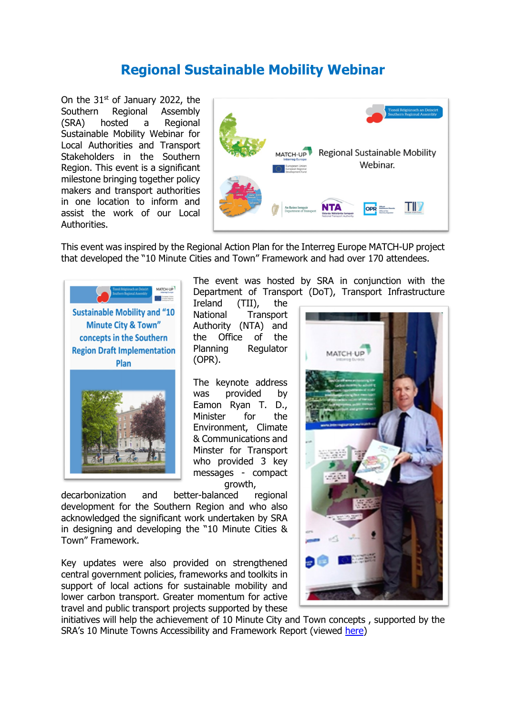## **Regional Sustainable Mobility Webinar**

On the 31<sup>st</sup> of January 2022, the Southern Regional Assembly (SRA) hosted a Regional Sustainable Mobility Webinar for Local Authorities and Transport Stakeholders in the Southern Region. This event is a significant milestone bringing together policy makers and transport authorities in one location to inform and assist the work of our Local Authorities.



This event was inspired by the Regional Action Plan for the Interreg Europe MATCH-UP project that developed the "10 Minute Cities and Town" Framework and had over 170 attendees.



The event was hosted by SRA in conjunction with the Department of Transport (DoT), Transport Infrastructure

Ireland (TII), the<br>National Transport **Transport** Authority (NTA) and the Office of the Planning Regulator (OPR).

The keynote address was provided by Eamon Ryan T. D., Minister for the Environment, Climate & Communications and Minster for Transport who provided 3 key messages - compact growth,

decarbonization and better-balanced regional development for the Southern Region and who also acknowledged the significant work undertaken by SRA in designing and developing the "10 Minute Cities & Town" Framework.

Key updates were also provided on strengthened central government policies, frameworks and toolkits in support of local actions for sustainable mobility and lower carbon transport. Greater momentum for active travel and public transport projects supported by these



initiatives will help the achievement of 10 Minute City and Town concepts , supported by the SRA's 10 Minute Towns Accessibility and Framework Report (viewed [here\)](https://www.southernassembly.ie/regional-planning/rses-implementation/10-minute-towns)